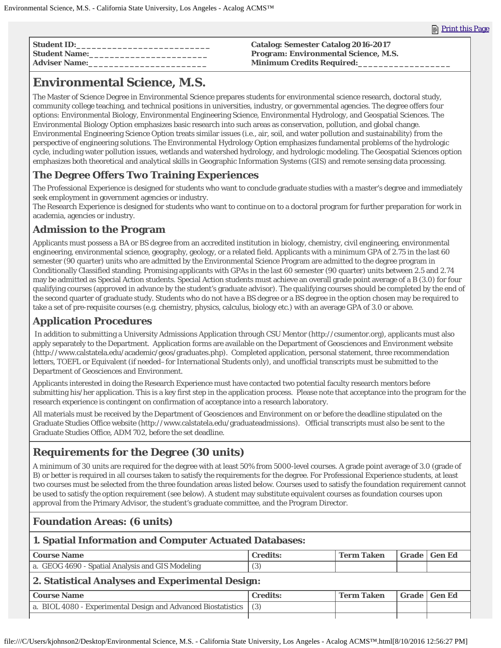| <b>Student ID:</b>   | <b>Catalog: Semester Catalog 2016-2017</b>  |
|----------------------|---------------------------------------------|
| <b>Student Name:</b> | <b>Program: Environmental Science, M.S.</b> |
| <b>Adviser Name:</b> | <b>Minimum Credits Required:</b>            |

# **Environmental Science, M.S.**

The Master of Science Degree in Environmental Science prepares students for environmental science research, doctoral study, community college teaching, and technical positions in universities, industry, or governmental agencies. The degree offers four options: Environmental Biology, Environmental Engineering Science, Environmental Hydrology, and Geospatial Sciences. The Environmental Biology Option emphasizes basic research into such areas as conservation, pollution, and global change. Environmental Engineering Science Option treats similar issues (i.e., air, soil, and water pollution and sustainability) from the perspective of engineering solutions. The Environmental Hydrology Option emphasizes fundamental problems of the hydrologic cycle, including water pollution issues, wetlands and watershed hydrology, and hydrologic modeling. The Geospatial Sciences option emphasizes both theoretical and analytical skills in Geographic Information Systems (GIS) and remote sensing data processing.

# **The Degree Offers Two Training Experiences**

The Professional Experience is designed for students who want to conclude graduate studies with a master's degree and immediately seek employment in government agencies or industry.

The Research Experience is designed for students who want to continue on to a doctoral program for further preparation for work in academia, agencies or industry.

### **Admission to the Program**

Applicants must possess a BA or BS degree from an accredited institution in biology, chemistry, civil engineering, environmental engineering, environmental science, geography, geology, or a related field. Applicants with a minimum GPA of 2.75 in the last 60 semester (90 quarter) units who are admitted by the Environmental Science Program are admitted to the degree program in Conditionally Classified standing. Promising applicants with GPAs in the last 60 semester (90 quarter) units between 2.5 and 2.74 may be admitted as Special Action students. Special Action students must achieve an overall grade point average of a B (3.0) for four qualifying courses (approved in advance by the student's graduate advisor). The qualifying courses should be completed by the end of the second quarter of graduate study. Students who do not have a BS degree or a BS degree in the option chosen may be required to take a set of pre-requisite courses (e.g. chemistry, physics, calculus, biology etc.) with an average GPA of 3.0 or above.

# **Application Procedures**

In addition to submitting a University Admissions Application through CSU Mentor (http://csumentor.org), applicants must also apply separately to the Department. Application forms are available on the Department of Geosciences and Environment website (http://www.calstatela.edu/academic/geos/graduates.php). Completed application, personal statement, three recommendation letters, TOEFL or Equivalent (if needed–for International Students only), and unofficial transcripts must be submitted to the Department of Geosciences and Environment.

Applicants interested in doing the Research Experience must have contacted two potential faculty research mentors before submitting his/her application. This is a key first step in the application process. Please note that acceptance into the program for the research experience is contingent on confirmation of acceptance into a research laboratory.

All materials must be received by the Department of Geosciences and Environment on or before the deadline stipulated on the Graduate Studies Office website (http://www.calstatela.edu/graduateadmissions). Official transcripts must also be sent to the Graduate Studies Office, ADM 702, before the set deadline.

# **Requirements for the Degree (30 units)**

a. BIOL 4080 - Experimental Design and Advanced Biostatistics (3)

A minimum of 30 units are required for the degree with at least 50% from 5000-level courses. A grade point average of 3.0 (grade of B) or better is required in all courses taken to satisfy the requirements for the degree. For Professional Experience students, at least two courses must be selected from the three foundation areas listed below. Courses used to satisfy the foundation requirement cannot be used to satisfy the option requirement (see below). A student may substitute equivalent courses as foundation courses upon approval from the Primary Advisor, the student's graduate committee, and the Program Director.

# **Foundation Areas: (6 units)**

| 1. Spatial Information and Computer Actuated Databases: |                 |                   |  |                     |  |  |
|---------------------------------------------------------|-----------------|-------------------|--|---------------------|--|--|
| <b>Course Name</b>                                      | <b>Credits:</b> | <b>Term Taken</b> |  | <b>Grade</b> Gen Ed |  |  |
| a. GEOG 4690 - Spatial Analysis and GIS Modeling        | (3)             |                   |  |                     |  |  |
| 2. Statistical Analyses and Experimental Design:        |                 |                   |  |                     |  |  |
| <b>Course Name</b>                                      | <b>Credits:</b> | <b>Term Taken</b> |  | Grade Gen Ed        |  |  |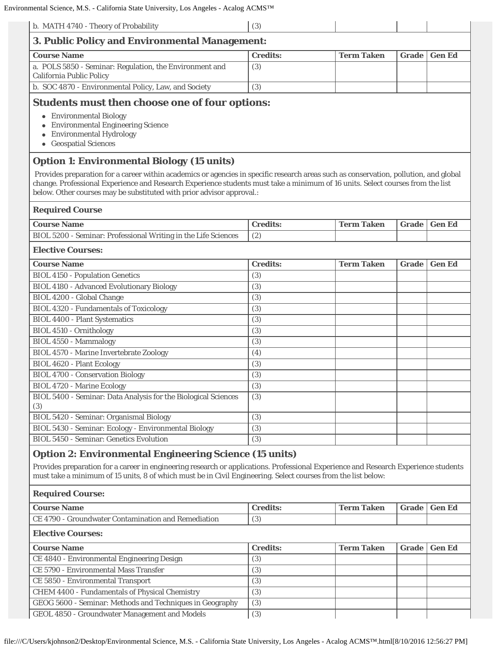| b. MATH 4740 - Theory of Probability                                                  | (3)             |                   |              |               |  |  |  |
|---------------------------------------------------------------------------------------|-----------------|-------------------|--------------|---------------|--|--|--|
| 3. Public Policy and Environmental Management:                                        |                 |                   |              |               |  |  |  |
| <b>Course Name</b>                                                                    | <b>Credits:</b> | <b>Term Taken</b> | <b>Grade</b> | <b>Gen Ed</b> |  |  |  |
| a. POLS 5850 - Seminar: Regulation, the Environment and<br>California Public Policy   | (3)             |                   |              |               |  |  |  |
| b. SOC 4870 - Environmental Policy, Law, and Society                                  | (3)             |                   |              |               |  |  |  |
| <b>Students must then choose one of four options:</b>                                 |                 |                   |              |               |  |  |  |
| <b>Environmental Biology</b><br>$\bullet$<br><b>Environmental Engineering Science</b> |                 |                   |              |               |  |  |  |
| <b>Environmental Hydrology</b>                                                        |                 |                   |              |               |  |  |  |
| <b>Geospatial Sciences</b>                                                            |                 |                   |              |               |  |  |  |

# **Option 1: Environmental Biology (15 units)**

Provides preparation for a career within academics or agencies in specific research areas such as conservation, pollution, and global change. Professional Experience and Research Experience students must take a minimum of 16 units. Select courses from the list below. Other courses may be substituted with prior advisor approval.:

#### **Required Course**

| <b>Course Name</b>                                                       | `modit∝∘ | <b>Term</b><br>l'aker | $C_{\rm rad}$ | <b>Gen Ed</b> |
|--------------------------------------------------------------------------|----------|-----------------------|---------------|---------------|
| - Seminar: Professional Writing in the Life Sciences<br><b>BIOL 5200</b> | (2)      |                       |               |               |

#### **Elective Courses:**

| <b>Course Name</b>                                                    | <b>Credits:</b> | <b>Term Taken</b> | <b>Grade</b> | <b>Gen Ed</b> |
|-----------------------------------------------------------------------|-----------------|-------------------|--------------|---------------|
| <b>BIOL 4150 - Population Genetics</b>                                | (3)             |                   |              |               |
| <b>BIOL 4180 - Advanced Evolutionary Biology</b>                      | (3)             |                   |              |               |
| BIOL 4200 - Global Change                                             | (3)             |                   |              |               |
| <b>BIOL 4320 - Fundamentals of Toxicology</b>                         | (3)             |                   |              |               |
| <b>BIOL 4400 - Plant Systematics</b>                                  | (3)             |                   |              |               |
| <b>BIOL 4510 - Ornithology</b>                                        | (3)             |                   |              |               |
| <b>BIOL 4550 - Mammalogy</b>                                          | (3)             |                   |              |               |
| <b>BIOL 4570 - Marine Invertebrate Zoology</b>                        | (4)             |                   |              |               |
| <b>BIOL 4620 - Plant Ecology</b>                                      | (3)             |                   |              |               |
| <b>BIOL 4700 - Conservation Biology</b>                               | (3)             |                   |              |               |
| <b>BIOL 4720 - Marine Ecology</b>                                     | (3)             |                   |              |               |
| BIOL 5400 - Seminar: Data Analysis for the Biological Sciences<br>(3) | (3)             |                   |              |               |
| BIOL 5420 - Seminar: Organismal Biology                               | (3)             |                   |              |               |
| BIOL 5430 - Seminar: Ecology - Environmental Biology                  | (3)             |                   |              |               |
| <b>BIOL 5450 - Seminar: Genetics Evolution</b>                        | (3)             |                   |              |               |

# **Option 2: Environmental Engineering Science (15 units)**

Provides preparation for a career in engineering research or applications. Professional Experience and Research Experience students must take a minimum of 15 units, 8 of which must be in Civil Engineering. Select courses from the list below:

### **Required Course:**

| <b>Course Name</b>                                                 | redits:\       | Taken<br>$Term$ . | $^\circ$ rade | <b>Gen Ed</b> |
|--------------------------------------------------------------------|----------------|-------------------|---------------|---------------|
| CE 4790 - Groundwater C<br><b>Remediation</b><br>Contamination and | $\Omega$<br>ιυ |                   |               |               |

#### **Elective Courses:**

| <b>Course Name</b>                                       | <b>Credits:</b> | <b>Term Taken</b> | <b>Grade   Gen Ed</b> |
|----------------------------------------------------------|-----------------|-------------------|-----------------------|
| CE 4840 - Environmental Engineering Design               | (3)             |                   |                       |
| CE 5790 - Environmental Mass Transfer                    | (3)             |                   |                       |
| CE 5850 - Environmental Transport                        | (3)             |                   |                       |
| <b>CHEM 4400 - Fundamentals of Physical Chemistry</b>    | (3)             |                   |                       |
| GEOG 5600 - Seminar: Methods and Techniques in Geography | (3)             |                   |                       |
| GEOL 4850 - Groundwater Management and Models            | (3)             |                   |                       |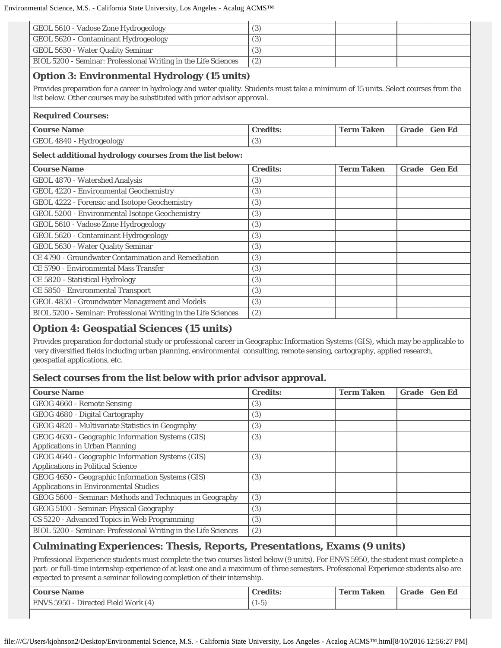Environmental Science, M.S. - California State University, Los Angeles - Acalog ACMS™

| GEOL 5610 - Vadose Zone Hydrogeology                           | (3  |  |  |
|----------------------------------------------------------------|-----|--|--|
| GEOL 5620 - Contaminant Hydrogeology                           | (3  |  |  |
| GEOL 5630 - Water Quality Seminar                              |     |  |  |
| BIOL 5200 - Seminar: Professional Writing in the Life Sciences | (2) |  |  |
|                                                                |     |  |  |

#### **Option 3: Environmental Hydrology (15 units)**

Provides preparation for a career in hydrology and water quality. Students must take a minimum of 15 units. Select courses from the list below. Other courses may be substituted with prior advisor approval.

#### **Required Courses:**

| <b>Course Name</b>          | <b>Credits:</b>        | Taken<br>Term | <b>Grade</b> | <b>Schaff</b> |
|-----------------------------|------------------------|---------------|--------------|---------------|
| Hydrogeology<br>GEOL 4840 - | $\sqrt{2}$<br>$\sigma$ |               |              |               |

#### **Select additional hydrology courses from the list below:**

| <b>Course Name</b>                                             | <b>Credits:</b> | <b>Term Taken</b> | <b>Grade</b> | <b>Gen Ed</b> |
|----------------------------------------------------------------|-----------------|-------------------|--------------|---------------|
| GEOL 4870 - Watershed Analysis                                 | (3)             |                   |              |               |
| GEOL 4220 - Environmental Geochemistry                         | (3)             |                   |              |               |
| GEOL 4222 - Forensic and Isotope Geochemistry                  | (3)             |                   |              |               |
| GEOL 5200 - Environmental Isotope Geochemistry                 | (3)             |                   |              |               |
| GEOL 5610 - Vadose Zone Hydrogeology                           | (3)             |                   |              |               |
| GEOL 5620 - Contaminant Hydrogeology                           | (3)             |                   |              |               |
| GEOL 5630 - Water Quality Seminar                              | (3)             |                   |              |               |
| CE 4790 - Groundwater Contamination and Remediation            | (3)             |                   |              |               |
| CE 5790 - Environmental Mass Transfer                          | (3)             |                   |              |               |
| CE 5820 - Statistical Hydrology                                | (3)             |                   |              |               |
| CE 5850 - Environmental Transport                              | (3)             |                   |              |               |
| GEOL 4850 - Groundwater Management and Models                  | (3)             |                   |              |               |
| BIOL 5200 - Seminar: Professional Writing in the Life Sciences | (2)             |                   |              |               |

### **Option 4: Geospatial Sciences (15 units)**

Provides preparation for doctorial study or professional career in Geographic Information Systems (GIS), which may be applicable to very diversified fields including urban planning, environmental consulting, remote sensing, cartography, applied research, geospatial applications, etc.

#### **Select courses from the list below with prior advisor approval.**

| <b>Course Name</b>                                                                               | <b>Credits:</b> | <b>Term Taken</b> | Grade | <b>Gen Ed</b> |
|--------------------------------------------------------------------------------------------------|-----------------|-------------------|-------|---------------|
| GEOG 4660 - Remote Sensing                                                                       | (3)             |                   |       |               |
| GEOG 4680 - Digital Cartography                                                                  | (3)             |                   |       |               |
| GEOG 4820 - Multivariate Statistics in Geography                                                 | (3)             |                   |       |               |
| GEOG 4630 - Geographic Information Systems (GIS)<br><b>Applications in Urban Planning</b>        | (3)             |                   |       |               |
| GEOG 4640 - Geographic Information Systems (GIS)<br><b>Applications in Political Science</b>     | (3)             |                   |       |               |
| GEOG 4650 - Geographic Information Systems (GIS)<br><b>Applications in Environmental Studies</b> | (3)             |                   |       |               |
| GEOG 5600 - Seminar: Methods and Techniques in Geography                                         | (3)             |                   |       |               |
| GEOG 5100 - Seminar: Physical Geography                                                          | (3)             |                   |       |               |
| CS 5220 - Advanced Topics in Web Programming                                                     | (3)             |                   |       |               |
| BIOL 5200 - Seminar: Professional Writing in the Life Sciences                                   | (2)             |                   |       |               |

### **Culminating Experiences: Thesis, Reports, Presentations, Exams (9 units)**

Professional Experience students must complete the two courses listed below (9 units). For ENVS 5950, the student must complete a part- or full-time internship experience of at least one and a maximum of three semesters. Professional Experience students also are expected to present a seminar following completion of their internship.

| <b>I Course Name</b>                | <b>Credits:</b> | <b>Term Taken</b> | Grade   Gen Ed |
|-------------------------------------|-----------------|-------------------|----------------|
| ENVS 5950 - Directed Field Work (4) | $(1-5)$         |                   |                |